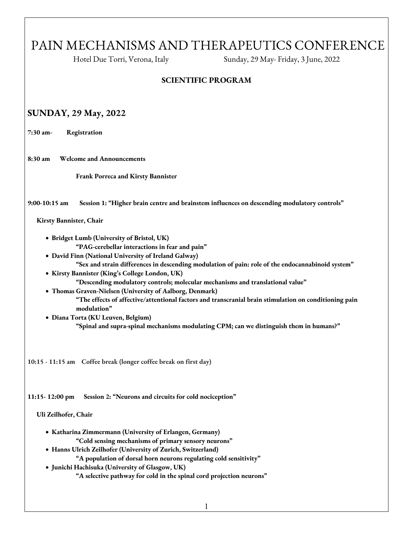# PAIN MECHANISMS AND THERAPEUTICS CONFERENCE

Hotel Due Torri, Verona, Italy Sunday, 29 May- Friday, 3 June, 2022

#### **SCIENTIFIC PROGRAM**

### **SUNDAY, 29 May, 2022**

**7:30 am- Registration**

**8:30 am Welcome and Announcements**

**Frank Porreca and Kirsty Bannister**

**9:00-10:15 am Session 1: "Higher brain centre and brainstem influences on descending modulatory controls"**

**Kirsty Bannister, Chair**

• **Bridget Lumb (University of Bristol, UK) "PAG-cerebellar interactions in fear and pain"**

• **David Finn (National University of Ireland Galway)** 

- **"Sex and strain differences in descending modulation of pain: role of the endocannabinoid system"**
- **Kirsty Bannister (King's College London, UK) "Descending modulatory controls; molecular mechanisms and translational value"**
- **Thomas Graven-Nielsen (University of Aalborg, Denmark) "The effects of affective/attentional factors and transcranial brain stimulation on conditioning pain modulation"**
- **Diana Torta (KU Leuven, Belgium) "Spinal and supra-spinal mechanisms modulating CPM; can we distinguish them in humans?"**

**10:15 - 11:15 am Coffee break (longer coffee break on first day)**

**11:15- 12:00 pm Session 2: "Neurons and circuits for cold nociception"**

#### **Uli Zeilhofer, Chair**

- **Katharina Zimmermann (University of Erlangen, Germany) "Cold sensing mechanisms of primary sensory neurons"**
- **Hanns Ulrich Zeilhofer (University of Zurich, Switzerland) "A population of dorsal horn neurons regulating cold sensitivity"**
- **Junichi Hachisuka (University of Glasgow, UK) "A selective pathway for cold in the spinal cord projection neurons"**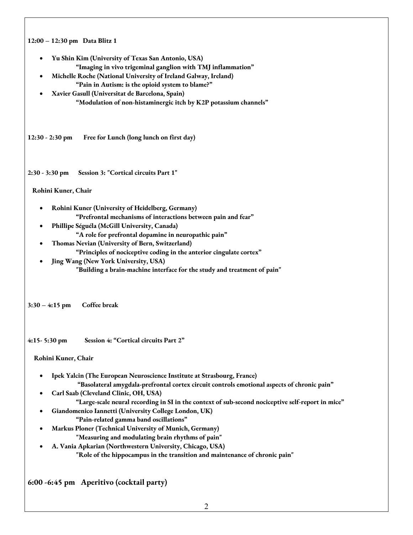| 12:00 - 12:30 pm Data Blitz 1 |                                                                                                   |
|-------------------------------|---------------------------------------------------------------------------------------------------|
| ٠                             | Yu Shin Kim (University of Texas San Antonio, USA)                                                |
|                               | "Imaging in vivo trigeminal ganglion with TMJ inflammation"                                       |
| $\bullet$                     | Michelle Roche (National University of Ireland Galway, Ireland)                                   |
|                               | "Pain in Autism: is the opioid system to blame?"                                                  |
|                               | Xavier Gasull (Universitat de Barcelona, Spain)                                                   |
|                               | "Modulation of non-histaminergic itch by K2P potassium channels"                                  |
| $12:30 - 2:30$ pm             | Free for Lunch (long lunch on first day)                                                          |
| $2:30 - 3:30$ pm              | Session 3: "Cortical circuits Part 1"                                                             |
| Rohini Kuner, Chair           |                                                                                                   |
|                               | Rohini Kuner (University of Heidelberg, Germany)                                                  |
|                               | "Prefrontal mechanisms of interactions between pain and fear"                                     |
|                               | Phillipe Séguéla (McGill University, Canada)                                                      |
|                               | "A role for prefrontal dopamine in neuropathic pain"                                              |
|                               | Thomas Nevian (University of Bern, Switzerland)                                                   |
|                               | "Principles of nociceptive coding in the anterior cingulate cortex"                               |
|                               | Jing Wang (New York University, USA)                                                              |
|                               | "Building a brain-machine interface for the study and treatment of pain"                          |
| $3:30 - 4:15$ pm              | Coffee break                                                                                      |
| 4:15 - 5:30 pm                | Session 4: "Cortical circuits Part 2"                                                             |
| Rohini Kuner, Chair           |                                                                                                   |
|                               | Ipek Yalcin (The European Neuroscience Institute at Strasbourg, France)                           |
|                               | "Basolateral amygdala-prefrontal cortex circuit controls emotional aspects of chronic pain"       |
|                               | Carl Saab (Cleveland Clinic, OH, USA)                                                             |
|                               | "Large-scale neural recording in SI in the context of sub-second nociceptive self-report in mice" |
|                               | Giandomenico Iannetti (University College London, UK)<br>"Pain-related gamma band oscillations"   |
|                               | Markus Ploner (Technical University of Munich, Germany)                                           |
|                               | "Measuring and modulating brain rhythms of pain"                                                  |
|                               | A. Vania Apkarian (Northwestern University, Chicago, USA)                                         |
|                               | "Role of the hippocampus in the transition and maintenance of chronic pain"                       |
|                               |                                                                                                   |
|                               |                                                                                                   |

**6:00 -6:45 pm Aperitivo (cocktail party)**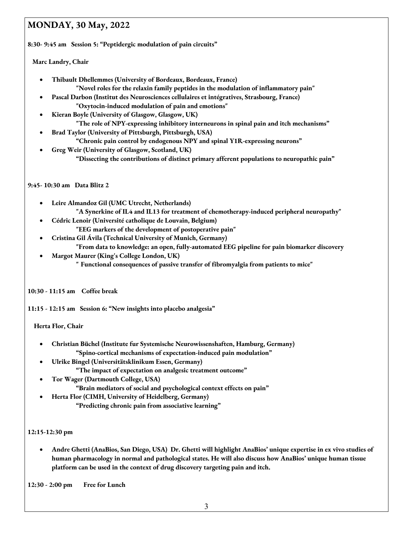## **MONDAY, 30 May, 2022**

**8:30- 9:45 am Session 5: "Peptidergic modulation of pain circuits"**

 **Marc Landry, Chair**

- **Thibault Dhellemmes (University of Bordeaux, Bordeaux, France) "Novel roles for the relaxin family peptides in the modulation of inflammatory pain"**
- **Pascal Darbon (Institut des Neurosciences cellulaires et intégratives, Strasbourg, France) "Oxytocin-induced modulation of pain and emotions"**
- **Kieran Boyle (University of Glasgow, Glasgow, UK) "The role of NPY-expressing inhibitory interneurons in spinal pain and itch mechanisms"**
- **Brad Taylor (University of Pittsburgh, Pittsburgh, USA) "Chronic pain control by endogenous NPY and spinal Y1R-expressing neurons"**
- **Greg Weir (University of Glasgow, Scotland, UK)** 
	- **"Dissecting the contributions of distinct primary afferent populations to neuropathic pain"**

#### **9:45- 10:30 am Data Blitz 2**

- **Leire Almandoz Gil (UMC Utrecht, Netherlands) "A Synerkine of IL4 and IL13 for treatment of chemotherapy-induced peripheral neuropathy"**
- **Cédric Lenoir (Université catholique de Louvain, Belgium) "EEG markers of the development of postoperative pain"**
- **Cristina Gil Ávila (Technical University of Munich, Germany) "From data to knowledge: an open, fully-automated EEG pipeline for pain biomarker discovery**
- **Margot Maurer (King's College London, UK) " Functional consequences of passive transfer of fibromyalgia from patients to mice"**

#### **10:30 - 11:15 am Coffee break**

**11:15 - 12:15 am Session 6: "New insights into placebo analgesia"**

 **Herta Flor, Chair**

- **Christian Büchel (Institute fur Systemische Neurowissenshaften, Hamburg, Germany) "Spino-cortical mechanisms of expectation-induced pain modulation"**
- **Ulrike Bingel (Universitätsklinikum Essen, Germany) "The impact of expectation on analgesic treatment outcome"**
- **Tor Wager (Dartmouth College, USA) "Brain mediators of social and psychological context effects on pain"**
- **Herta Flor (CIMH, University of Heidelberg, Germany) "Predicting chronic pain from associative learning"**

#### **12:15-12:30 pm**

• **Andre Ghetti (AnaBios, San Diego, USA) Dr. Ghetti will highlight AnaBios' unique expertise in ex vivo studies of human pharmacology in normal and pathological states. He will also discuss how AnaBios' unique human tissue platform can be used in the context of drug discovery targeting pain and itch.**

**12:30 - 2:00 pm Free for Lunch**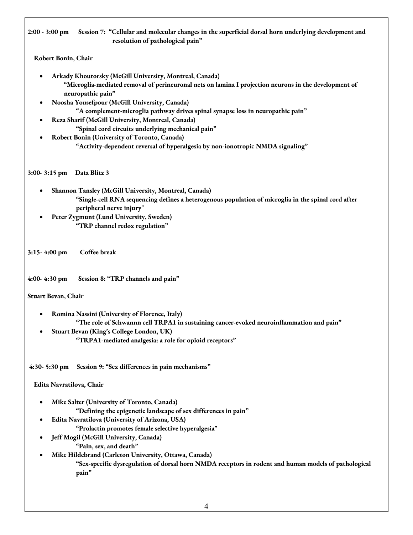**2:00 - 3:00 pm Session 7: "Cellular and molecular changes in the superficial dorsal horn underlying development and resolution of pathological pain"**

 **Robert Bonin, Chair**

- **Arkady Khoutorsky (McGill University, Montreal, Canada) "Microglia-mediated removal of perineuronal nets on lamina I projection neurons in the development of neuropathic pain"**
- **Noosha Yousefpour (McGill University, Canada) "A complement-microglia pathway drives spinal synapse loss in neuropathic pain"**
- **Reza Sharif (McGill University, Montreal, Canada) "Spinal cord circuits underlying mechanical pain"**
- **Robert Bonin (University of Toronto, Canada) "Activity-dependent reversal of hyperalgesia by non-ionotropic NMDA signaling"**

**3:00- 3:15 pm Data Blitz 3**

- **Shannon Tansley (McGill University, Montreal, Canada) "Single-cell RNA sequencing defines a heterogenous population of microglia in the spinal cord after peripheral nerve injury"**
- **Peter Zygmunt (Lund University, Sweden) "TRP channel redox regulation"**

**3:15- 4:00 pm Coffee break**

**4:00- 4:30 pm Session 8: "TRP channels and pain"**

**Stuart Bevan, Chair**

- **Romina Nassini (University of Florence, Italy) "The role of Schwannn cell TRPA1 in sustaining cancer-evoked neuroinflammation and pain"**
- **Stuart Bevan (King's College London, UK) "TRPA1-mediated analgesia: a role for opioid receptors"**

**4:30- 5:30 pm Session 9: "Sex differences in pain mechanisms"**

 **Edita Navratilova, Chair**

- **Mike Salter (University of Toronto, Canada) "Defining the epigenetic landscape of sex differences in pain"**
- **Edita Navratilova (University of Arizona, USA)** 
	- **"Prolactin promotes female selective hyperalgesia"**
- **Jeff Mogil (McGill University, Canada) "Pain, sex, and death"**
- **Mike Hildebrand (Carleton University, Ottawa, Canada)**

**"Sex-specific dysregulation of dorsal horn NMDA receptors in rodent and human models of pathological pain"**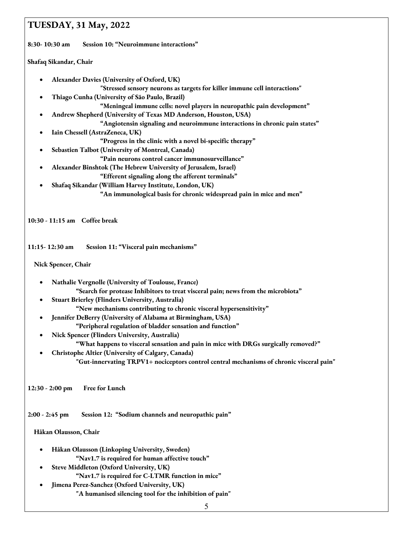### **TUESDAY, 31 May, 2022**

**8:30- 10:30 am Session 10: "Neuroimmune interactions"**

**Shafaq Sikandar, Chair**

• **Alexander Davies (University of Oxford, UK)**

**"Stressed sensory neurons as targets for killer immune cell interactions"**

• **Thiago Cunha (University of São Paulo, Brazil)** 

**"Meningeal immune cells: novel players in neuropathic pain development"**

• **Andrew Shepherd (University of Texas MD Anderson, Houston, USA)** 

**"Angiotensin signaling and neuroimmune interactions in chronic pain states"**

- **Iain Chessell (AstraZeneca, UK)** 
	- **"Progress in the clinic with a novel bi-specific therapy"**
- **Sebastien Talbot (University of Montreal, Canada)**

**"Pain neurons control cancer immunosurveillance"**

- **Alexander Binshtok (The Hebrew University of Jerusalem, Israel)** 
	- **"Efferent signaling along the afferent terminals"**
- **Shafaq Sikandar (William Harvey Institute, London, UK) "An immunological basis for chronic widespread pain in mice and men"**

**10:30 - 11:15 am Coffee break**

**11:15- 12:30 am Session 11: "Visceral pain mechanisms"**

#### **Nick Spencer, Chair**

- **Nathalie Vergnolle (University of Toulouse, France) "Search for protease Inhibitors to treat visceral pain; news from the microbiota"**
- **Stuart Brierley (Flinders University, Australia) "New mechanisms contributing to chronic visceral hypersensitivity"**
- **Jennifer DeBerry (University of Alabama at Birmingham, USA) "Peripheral regulation of bladder sensation and function"**
- **Nick Spencer (Flinders University, Australia)** 
	- **"What happens to visceral sensation and pain in mice with DRGs surgically removed?"**
- **Christophe Altier (University of Calgary, Canada) "Gut-innervating TRPV1+ nociceptors control central mechanisms of chronic visceral pain"**

**12:30 - 2:00 pm Free for Lunch**

**2:00 - 2:45 pm Session 12: "Sodium channels and neuropathic pain"**

#### **Håkan Olausson, Chair**

- **Håkan Olausson (Linkoping University, Sweden) "Nav1.7 is required for human affective touch"**
- **Steve Middleton (Oxford University, UK) "Nav1.7 is required for C-LTMR function in mice"**
- **Jimena Perez-Sanchez (Oxford University, UK) "A humanised silencing tool for the inhibition of pain"**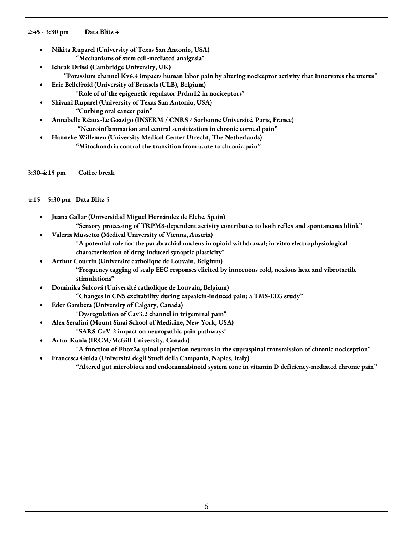#### **2:45 - 3:30 pm Data Blitz 4**

- **Nikita Ruparel (University of Texas San Antonio, USA) "Mechanisms of stem cell-mediated analgesia"**
- **Ichrak Drissi (Cambridge University, UK) "Potassium channel Kv6.4 impacts human labor pain by altering nociceptor activity that innervates the uterus"**
- **Eric Bellefroid (University of Brussels (ULB), Belgium) "Role of of the epigenetic regulator Prdm12 in nociceptors"**
- **Shivani Ruparel (University of Texas San Antonio, USA) "Curbing oral cancer pain"**
- **Annabelle Réaux-Le Goazigo (INSERM / CNRS / Sorbonne Université, Paris, France) "Neuroinflammation and central sensitization in chronic corneal pain"**
- **Hanneke Willemen (University Medical Center Utrecht, The Netherlands) "Mitochondria control the transition from acute to chronic pain"**

**3:30-4:15 pm Coffee break**

#### **4:15 – 5:30 pm Data Blitz 5**

- **Juana Gallar (Universidad Miguel Hernández de Elche, Spain) "Sensory processing of TRPM8-dependent activity contributes to both reflex and spontaneous blink"**
- **Valeria Mussetto (Medical University of Vienna, Austria)** 
	- **"A potential role for the parabrachial nucleus in opioid withdrawal; in vitro electrophysiological characterization of drug-induced synaptic plasticity"**
- **Arthur Courtin (Université catholique de Louvain, Belgium) "Frequency tagging of scalp EEG responses elicited by innocuous cold, noxious heat and vibrotactile stimulations"**
- **Dominika Šulcová (Université catholique de Louvain, Belgium) "Changes in CNS excitability during capsaicin-induced pain: a TMS-EEG study"**
- **Eder Gambeta (University of Calgary, Canada)** 
	- **"Dysregulation of Cav3.2 channel in trigeminal pain"**
- **Alex Serafini (Mount Sinai School of Medicine, New York, USA)**
- **"SARS-CoV-2 impact on neuropathic pain pathways"**
- **Artur Kania (IRCM/McGill University, Canada)**

**"A function of Phox2a spinal projection neurons in the supraspinal transmission of chronic nociception"**

• **Francesca Guida (Università degli Studi della Campania, Naples, Italy)** 

**"Altered gut microbiota and endocannabinoid system tone in vitamin D deficiency-mediated chronic pain"**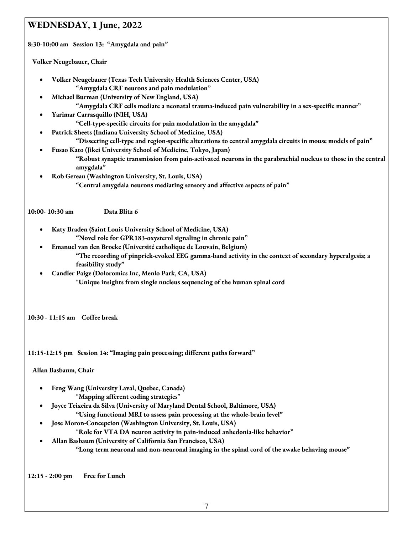### **WEDNESDAY, 1 June, 2022**

**8:30-10:00 am Session 13: "Amygdala and pain"**

 **Volker Neugebauer, Chair**

- **Volker Neugebauer (Texas Tech University Health Sciences Center, USA) "Amygdala CRF neurons and pain modulation"**
- **Michael Burman (University of New England, USA)**

**"Amygdala CRF cells mediate a neonatal trauma-induced pain vulnerability in a sex-specific manner"**

- **Yarimar Carrasquillo (NIH, USA)** 
	- **"Cell-type-specific circuits for pain modulation in the amygdala"**
- **Patrick Sheets (Indiana University School of Medicine, USA)**

**"Dissecting cell-type and region-specific alterations to central amygdala circuits in mouse models of pain"**

- **Fusao Kato (Jikei University School of Medicine, Tokyo, Japan)** 
	- **"Robust synaptic transmission from pain-activated neurons in the parabrachial nucleus to those in the central amygdala"**
- **Rob Gereau (Washington University, St. Louis, USA) "Central amygdala neurons mediating sensory and affective aspects of pain"**

**10:00- 10:30 am Data Blitz 6**

- **Katy Braden (Saint Louis University School of Medicine, USA) "Novel role for GPR183-oxysterol signaling in chronic pain"**
- **Emanuel van den Broeke (Université catholique de Louvain, Belgium) "The recording of pinprick-evoked EEG gamma-band activity in the context of secondary hyperalgesia; a feasibility study"**
- **Candler Paige (Doloromics Inc, Menlo Park, CA, USA) "Unique insights from single nucleus sequencing of the human spinal cord**

**10:30 - 11:15 am Coffee break**

**11:15-12:15 pm Session 14: "Imaging pain processing; different paths forward"**

 **Allan Basbaum, Chair**

- **Feng Wang (University Laval, Quebec, Canada) "Mapping afferent coding strategies"**
- **Joyce Teixeira da Silva (University of Maryland Dental School, Baltimore, USA) "Using functional MRI to assess pain processing at the whole-brain level"**
- **Jose Moron-Concepcion (Washington University, St. Louis, USA) "Role for VTA DA neuron activity in pain-induced anhedonia-like behavior"**
- **Allan Basbaum (University of California San Francisco, USA) "Long term neuronal and non-neuronal imaging in the spinal cord of the awake behaving mouse"**

**12:15 - 2:00 pm Free for Lunch**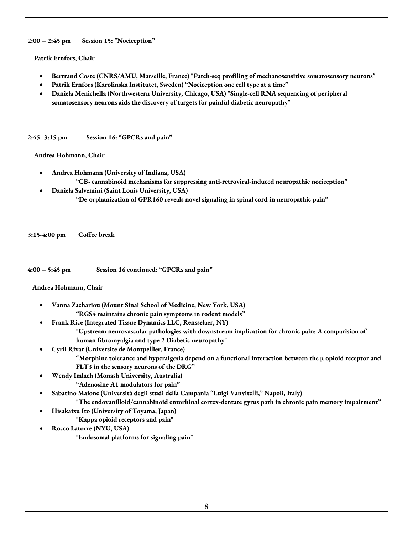**2:00 – 2:45 pm Session 15: "Nociception"**

#### **Patrik Ernfors, Chair**

- **Bertrand Coste (CNRS/AMU, Marseille, France) "Patch-seq profiling of mechanosensitive somatosensory neurons"**
- **Patrik Ernfors (Karolinska Institutet, Sweden) "Nociception one cell type at a time"**
- **Daniela Menichella (Northwestern University, Chicago, USA) "Single-cell RNA sequencing of peripheral somatosensory neurons aids the discovery of targets for painful diabetic neuropathy"**

**2:45- 3:15 pm Session 16: "GPCRs and pain"** 

#### **Andrea Hohmann, Chair**

- **Andrea Hohmann (University of Indiana, USA) "CB2 cannabinoid mechanisms for suppressing anti-retroviral-induced neuropathic nociception"**
	- **Daniela Salvemini (Saint Louis University, USA) "De-orphanization of GPR160 reveals novel signaling in spinal cord in neuropathic pain"**

**3:15-4:00 pm Coffee break**

**4:00 – 5:45 pm Session 16 continued: "GPCRs and pain"**

#### **Andrea Hohmann, Chair**

- **Vanna Zachariou (Mount Sinai School of Medicine, New York, USA) "RGS4 maintains chronic pain symptoms in rodent models"**
- **Frank Rice (Integrated Tissue Dynamics LLC, Rensselaer, NY)**

**"Upstream neurovascular pathologies with downstream implication for chronic pain: A comparision of human fibromyalgia and type 2 Diabetic neuropathy"**

- **Cyril Rivat (Université de Montpellier, France) "Morphine tolerance and hyperalgesia depend on a functional interaction between the µ opioid receptor and FLT3 in the sensory neurons of the DRG"**
- **Wendy Imlach (Monash University, Australia) "Adenosine A1 modulators for pain"**
- **Sabatino Maione (Università degli studi della Campania "Luigi Vanvitelli," Napoli, Italy)**

**"The endovanilloid/cannabinoid entorhinal cortex-dentate gyrus path in chronic pain memory impairment"**

- **Hisakatsu Ito (University of Toyama, Japan)** 
	- **"Kappa opioid receptors and pain"**
- **Rocco Latorre (NYU, USA)**

**"Endosomal platforms for signaling pain"**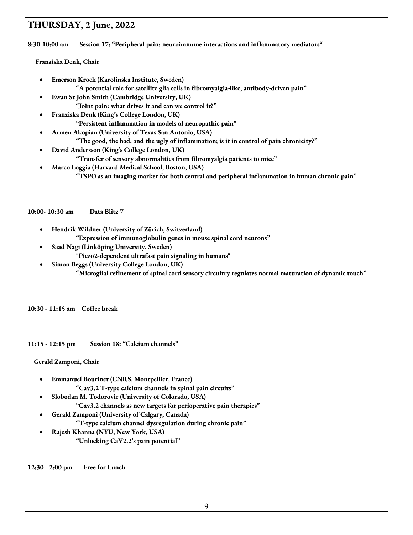### **THURSDAY, 2 June, 2022**

**8:30-10:00 am Session 17: "Peripheral pain: neuroimmune interactions and inflammatory mediators"**

 **Franziska Denk, Chair**

- **Emerson Krock (Karolinska Institute, Sweden) "A potential role for satellite glia cells in fibromyalgia-like, antibody-driven pain"**
- **Ewan St John Smith (Cambridge University, UK) "Joint pain: what drives it and can we control it?"**
- **Franziska Denk (King's College London, UK) "Persistent inflammation in models of neuropathic pain"**
- **Armen Akopian (University of Texas San Antonio, USA)** 
	- **"The good, the bad, and the ugly of inflammation; is it in control of pain chronicity?"**
- **David Andersson (King's College London, UK)**
	- **"Transfer of sensory abnormalities from fibromyalgia patients to mice"**
- **Marco Loggia (Harvard Medical School, Boston, USA) "TSPO as an imaging marker for both central and peripheral inflammation in human chronic pain"**

**10:00- 10:30 am Data Blitz 7**

- **Hendrik Wildner (University of Zürich, Switzerland) "Expression of immunoglobulin genes in mouse spinal cord neurons"**
- **Saad Nagi (Linköping University, Sweden)** 
	- **"Piezo2-dependent ultrafast pain signaling in humans"**
- **Simon Beggs (University College London, UK) "Microglial refinement of spinal cord sensory circuitry regulates normal maturation of dynamic touch"**

**10:30 - 11:15 am Coffee break**

**11:15 - 12:15 pm Session 18: "Calcium channels"**

 **Gerald Zamponi, Chair**

- **Emmanuel Bourinet (CNRS, Montpellier, France) "Cav3.2 T-type calcium channels in spinal pain circuits"**
- **Slobodan M. Todorovic (University of Colorado, USA)** 
	- **"Cav3.2 channels as new targets for perioperative pain therapies"**

• **Gerald Zamponi (University of Calgary, Canada)**

- **"T-type calcium channel dysregulation during chronic pain"**
- **Rajesh Khanna (NYU, New York, USA) "Unlocking CaV2.2's pain potential"**

**12:30 - 2:00 pm Free for Lunch**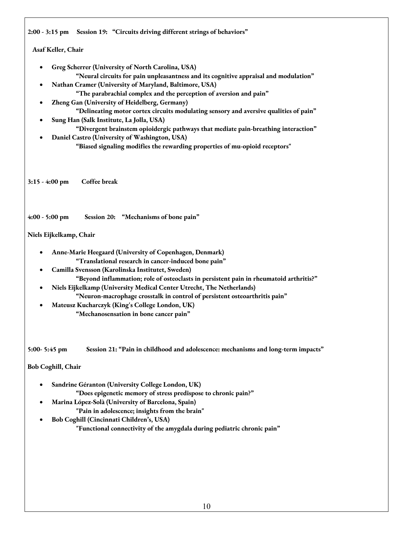**2:00 - 3:15 pm Session 19: "Circuits driving different strings of behaviors"**

#### **Asaf Keller, Chair**

- **Greg Scherrer (University of North Carolina, USA) "Neural circuits for pain unpleasantness and its cognitive appraisal and modulation"**
- **Nathan Cramer (University of Maryland, Baltimore, USA) "The parabrachial complex and the perception of aversion and pain"**
- **Zheng Gan (University of Heidelberg, Germany) "Delineating motor cortex circuits modulating sensory and aversive qualities of pain"**
- **Sung Han (Salk Institute, La Jolla, USA) "Divergent brainstem opioidergic pathways that mediate pain-breathing interaction"**
- **Daniel Castro (University of Washington, USA) "Biased signaling modifies the rewarding properties of mu-opioid receptors"**

**3:15 - 4:00 pm Coffee break**

#### **4:00 - 5:00 pm Session 20: "Mechanisms of bone pain"**

#### **Niels Eijkelkamp, Chair**

- **Anne-Marie Heegaard (University of Copenhagen, Denmark) "Translational research in cancer-induced bone pain"**
- **Camilla Svensson (Karolinska Institutet, Sweden) "Beyond inflammation; role of osteoclasts in persistent pain in rheumatoid arthritis?"**
- **Niels Eijkelkamp (University Medical Center Utrecht, The Netherlands) "Neuron-macrophage crosstalk in control of persistent osteoarthritis pain"**
- **Mateusz Kucharczyk (King's College London, UK) "Mechanosensation in bone cancer pain"**

**5:00- 5:45 pm Session 21: "Pain in childhood and adolescence: mechanisms and long-term impacts"**

**Bob Coghill, Chair**

- **Sandrine Géranton (University College London, UK) "Does epigenetic memory of stress predispose to chronic pain?"**
- **Marina López-Solà (University of Barcelona, Spain) "Pain in adolescence; insights from the brain"**
- **Bob Coghill (Cincinnati Children's, USA) "Functional connectivity of the amygdala during pediatric chronic pain"**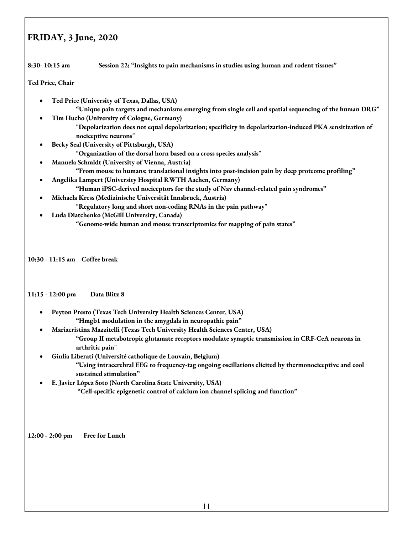### **FRIDAY, 3 June, 2020**

**8:30- 10:15 am Session 22: "Insights to pain mechanisms in studies using human and rodent tissues"**

**Ted Price, Chair**

- **Ted Price (University of Texas, Dallas, USA) "Unique pain targets and mechanisms emerging from single cell and spatial sequencing of the human DRG"**
- **Tim Hucho (University of Cologne, Germany) "Depolarization does not equal depolarization; specificity in depolarization-induced PKA sensitization of nociceptive neurons"**
- **Becky Seal (University of Pittsburgh, USA)** 
	- **"Organization of the dorsal horn based on a cross species analysis"**
- **Manuela Schmidt (University of Vienna, Austria) "From mouse to humans; translational insights into post-incision pain by deep proteome profiling"**
- **Angelika Lampert (University Hospital RWTH Aachen, Germany) "Human iPSC-derived nociceptors for the study of Nav channel-related pain syndromes"**
- **Michaela Kress (Medizinische Universität Innsbruck, Austria) "Regulatory long and short non-coding RNAs in the pain pathway"**
- **Luda Diatchenko (McGill University, Canada)**

**"Genome-wide human and mouse transcriptomics for mapping of pain states"**

**10:30 - 11:15 am Coffee break**

**11:15 - 12:00 pm Data Blitz 8**

- **Peyton Presto (Texas Tech University Health Sciences Center, USA) "Hmgb1 modulation in the amygdala in neuropathic pain"**
- **Mariacristina Mazzitelli (Texas Tech University Health Sciences Center, USA) "Group II metabotropic glutamate receptors modulate synaptic transmission in CRF-CeA neurons in arthritic pain"**
- **Giulia Liberati (Université catholique de Louvain, Belgium) "Using intracerebral EEG to frequency-tag ongoing oscillations elicited by thermonociceptive and cool sustained stimulation"**
- **E. Javier López Soto (North Carolina State University, USA) "Cell-specific epigenetic control of calcium ion channel splicing and function"**

**12:00 - 2:00 pm Free for Lunch**